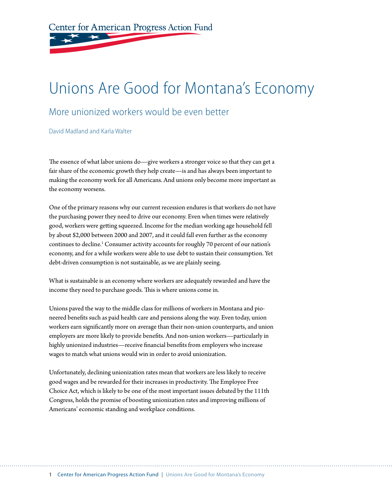Center for American Progress Action Fund

# Unions Are Good for Montana's Economy

#### More unionized workers would be even better

David Madland and Karla Walter

The essence of what labor unions do—give workers a stronger voice so that they can get a fair share of the economic growth they help create—is and has always been important to making the economy work for all Americans. And unions only become more important as the economy worsens.

One of the primary reasons why our current recession endures is that workers do not have the purchasing power they need to drive our economy. Even when times were relatively good, workers were getting squeezed. Income for the median working age household fell by about \$2,000 between 2000 and 2007, and it could fall even further as the economy continues to decline.<sup>1</sup> Consumer activity accounts for roughly 70 percent of our nation's economy, and for a while workers were able to use debt to sustain their consumption. Yet debt-driven consumption is not sustainable, as we are plainly seeing.

What is sustainable is an economy where workers are adequately rewarded and have the income they need to purchase goods. This is where unions come in.

Unions paved the way to the middle class for millions of workers in Montana and pioneered benefits such as paid health care and pensions along the way. Even today, union workers earn significantly more on average than their non-union counterparts, and union employers are more likely to provide benefits. And non-union workers—particularly in highly unionized industries—receive financial benefits from employers who increase wages to match what unions would win in order to avoid unionization.

Unfortunately, declining unionization rates mean that workers are less likely to receive good wages and be rewarded for their increases in productivity. The Employee Free Choice Act, which is likely to be one of the most important issues debated by the 111th Congress, holds the promise of boosting unionization rates and improving millions of Americans' economic standing and workplace conditions.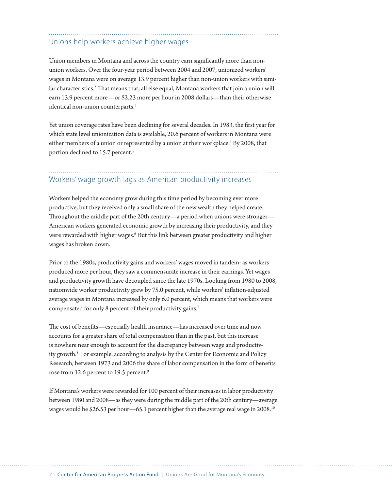#### Unions help workers achieve higher wages

Union members in Montana and across the country earn significantly more than nonunion workers. Over the four-year period between 2004 and 2007, unionized workers' wages in Montana were on average 13.9 percent higher than non-union workers with similar characteristics.<sup>2</sup> That means that, all else equal, Montana workers that join a union will earn 13.9 percent more—or \$2.23 more per hour in 2008 dollars—than their otherwise identical non-union counterparts.3

Yet union coverage rates have been declining for several decades. In 1983, the first year for which state level unionization data is available, 20.6 percent of workers in Montana were either members of a union or represented by a union at their workplace.<sup>4</sup> By 2008, that portion declined to 15.7 percent.<sup>5</sup>

### Workers' wage growth lags as American productivity increases

Workers helped the economy grow during this time period by becoming ever more productive, but they received only a small share of the new wealth they helped create. Throughout the middle part of the 20th century—a period when unions were stronger— American workers generated economic growth by increasing their productivity, and they were rewarded with higher wages.<sup>6</sup> But this link between greater productivity and higher wages has broken down.

Prior to the 1980s, productivity gains and workers' wages moved in tandem: as workers produced more per hour, they saw a commensurate increase in their earnings. Yet wages and productivity growth have decoupled since the late 1970s. Looking from 1980 to 2008, nationwide worker productivity grew by 75.0 percent, while workers' inflation-adjusted average wages in Montana increased by only 6.0 percent, which means that workers were compensated for only 8 percent of their productivity gains.<sup>7</sup>

The cost of benefits—especially health insurance—has increased over time and now accounts for a greater share of total compensation than in the past, but this increase is nowhere near enough to account for the discrepancy between wage and productivity growth.<sup>8</sup> For example, according to analysis by the Center for Economic and Policy Research, between 1973 and 2006 the share of labor compensation in the form of benefits rose from 12.6 percent to 19.5 percent.<sup>9</sup>

If Montana's workers were rewarded for 100 percent of their increases in labor productivity between 1980 and 2008—as they were during the middle part of the 20th century—average wages would be \$26.53 per hour—65.1 percent higher than the average real wage in 2008.10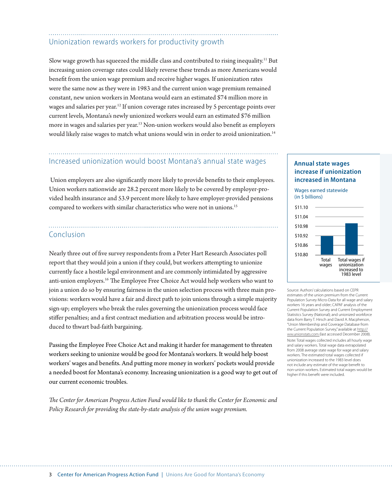### Unionization rewards workers for productivity growth

Slow wage growth has squeezed the middle class and contributed to rising inequality.<sup>11</sup> But increasing union coverage rates could likely reverse these trends as more Americans would benefit from the union wage premium and receive higher wages. If unionization rates were the same now as they were in 1983 and the current union wage premium remained constant, new union workers in Montana would earn an estimated \$74 million more in wages and salaries per year.12 If union coverage rates increased by 5 percentage points over current levels, Montana's newly unionized workers would earn an estimated \$76 million more in wages and salaries per year.13 Non-union workers would also benefit as employers would likely raise wages to match what unions would win in order to avoid unionization.14

## Increased unionization would boost Montana's annual state wages

Union employers are also significantly more likely to provide benefits to their employees. Union workers nationwide are 28.2 percent more likely to be covered by employer-provided health insurance and 53.9 percent more likely to have employer-provided pensions compared to workers with similar characteristics who were not in unions.<sup>15</sup>

#### Conclusion

Nearly three out of five survey respondents from a Peter Hart Research Associates poll report that they would join a union if they could, but workers attempting to unionize currently face a hostile legal environment and are commonly intimidated by aggressive anti-union employers.16 The Employee Free Choice Act would help workers who want to join a union do so by ensuring fairness in the union selection process with three main provisions: workers would have a fair and direct path to join unions through a simple majority sign-up; employers who break the rules governing the unionization process would face stiffer penalties; and a first contract mediation and arbitration process would be introduced to thwart bad-faith bargaining.

Passing the Employee Free Choice Act and making it harder for management to threaten workers seeking to unionize would be good for Montana's workers. It would help boost workers' wages and benefits. And putting more money in workers' pockets would provide a needed boost for Montana's economy. Increasing unionization is a good way to get out of our current economic troubles.

*The Center for American Progress Action Fund would like to thank the Center for Economic and Policy Research for providing the state-by-state analysis of the union wage premium.*

#### **Annual state wages increase if unionization increased in Montana**

Wages earned statewide (in \$ billions)



Source: Authors' calculations based on CEPR estimates of the union premium from the Current Population Survey Micro-Data for all wage and salary workers 16 years and older; CAPAF analysis of the Current Population Survey and Current Employment Statistics Survey (National); and unionized workforce data from Barry T. Hirsch and David A. Macpherson, "Union Membership and Coverage Database from the Current Population Survey," available at http:// ww.unionstats.com (last accessed December 2008). Note: Total wages collected includes all hourly wage and salary workers. Total wage data extrapolated from 2008 average state wage for wage and salary workers. The estimated total wages collected if unionization increased to the 1983 level does not include any estimate of the wage benefit to non-union workers. Estimated total wages would be higher if this benefit were included.